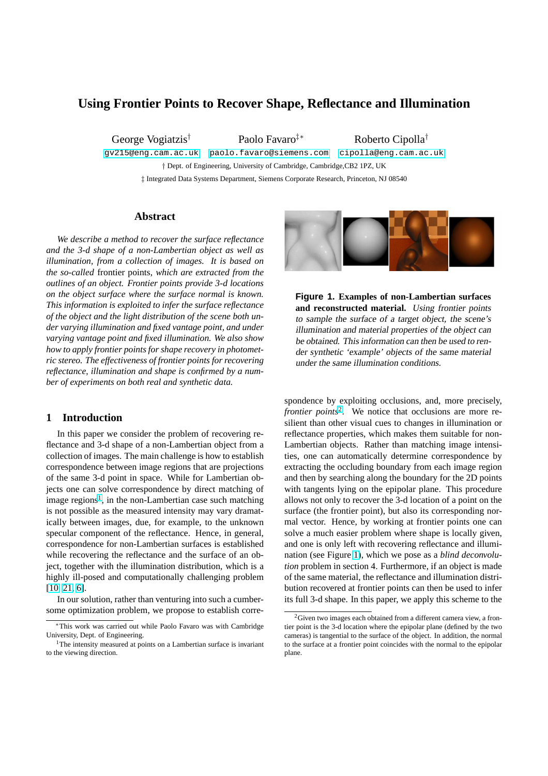# <span id="page-0-0"></span>**Using Frontier Points to Recover Shape, Reflectance and Illumination**

George Vogiatzis† Paolo Favaro‡∗ Roberto Cipolla†

gv215@eng.cam.ac.uk paolo.favaro@siemens.com cipolla@eng.cam.ac.uk † Dept. of Engineering, University of Cambridge, Cambridge,CB2 1PZ, UK

‡ Integrated Data Systems Department, Siemens Corporate Research, Princeton, NJ 08540

## **Abstract**

*We describe a method to recover the surface reflectance and the 3-d shape of a non-Lambertian object as well as illumination, from a collection of images. It is based on the so-called* frontier points*, which are extracted from the outlines of an object. Frontier points provide 3-d locations on the object surface where the surface normal is known. This information is exploited to infer the surface reflectance of the object and the light distribution of the scene both under varying illumination and fixed vantage point, and under varying vantage point and fixed illumination. We also show how to apply frontier points for shape recovery in photometric stereo. The effectiveness of frontier points for recovering reflectance, illumination and shape is confirmed by a number of experiments on both real and synthetic data.*

# **1 Introduction**

In this paper we consider the problem of recovering reflectance and 3-d shape of a non-Lambertian object from a collection of images. The main challenge is how to establish correspondence between image regions that are projections of the same 3-d point in space. While for Lambertian objects one can solve correspondence by direct matching of image regions<sup>1</sup>, in the non-Lambertian case such matching is not possible as the measured intensity may vary dramatically between images, due, for example, to the unknown specular component of the reflectance. Hence, in general, correspondence for non-Lambertian surfaces is established while recovering the reflectance and the surface of an object, together with the illumination distribution, which is a highly ill-posed and computationally challenging problem [10, 21, 6].

In our solution, rather than venturing into such a cumbersome optimization problem, we propose to establish corre-



**Figure 1. Examples of non-Lambertian surfaces and reconstructed material.** Using frontier points to sample the surface of <sup>a</sup> target object, the scene's illumination and material properties of the object can be obtained. This information can then be used to render synthetic 'example' objects of the same material under the same illumination conditions.

spondence by exploiting occlusions, and, more precisely, *frontier points<sup>2</sup>*. We notice that occlusions are more resilient than other visual cues to changes in illumination or reflectance properties, which makes them suitable for non-Lambertian objects. Rather than matching image intensities, one can automatically determine correspondence by extracting the occluding boundary from each image region and then by searching along the boundary for the 2D points with tangents lying on the epipolar plane. This procedure allows not only to recover the 3-d location of a point on the surface (the frontier point), but also its corresponding normal vector. Hence, by working at frontier points one can solve a much easier problem where shape is locally given, and one is only left with recovering reflectance and illumination (see Figure 1), which we pose as a *blind deconvolution* problem in section 4. Furthermore, if an object is made of the same material, the reflectance and illumination distribution recovered at frontier points can then be used to infer its full 3-d shape. In this paper, we apply this scheme to the

<sup>∗</sup>This work was carried out while Paolo Favaro was with Cambridge [University, D](#page-7-0)ept. of Engineering.

<sup>&</sup>lt;sup>1</sup>The intensity measured at points on a Lambertian surface is invariant to the viewing direction.

 $2$ Given two images each obtained from a different camera view, a frontier point is the 3-d location where the epipolar plane (defined by the two cameras) is tangential to the surface of the object. In addition, the normal to the surface at a frontier point coincides with the normal to the epipolar plane.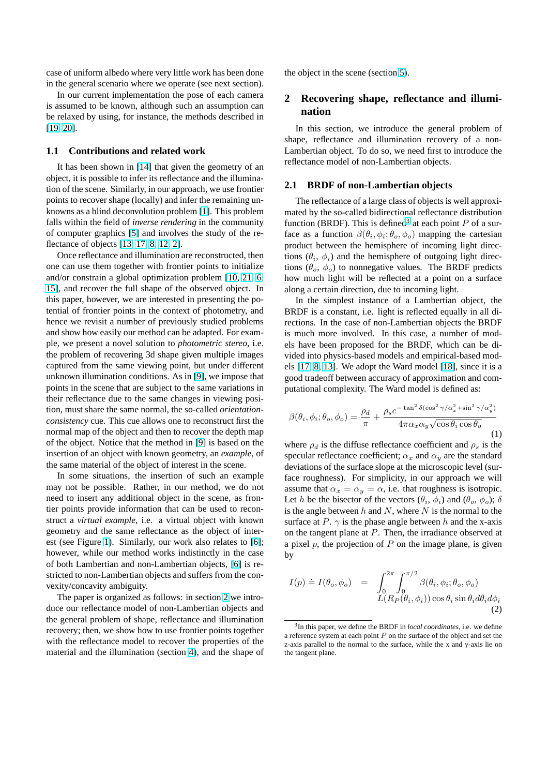<span id="page-1-0"></span>case of uniform albedo where very little work has been done in the general scenario where we operate (see next section).

In our current implementation the pose of each camera is assumed to be known, although such an assumption can be relaxed by using, for instance, the methods described in [19, 20].

# **1.1 Contributions and related work**

It has been shown in [14] that given the geometry of an [object,](#page-7-0) it is possible to infer its reflectance and the illumination of the scene. Similarly, in our approach, we use frontier points to recover shape (locally) and infer the remaining unknowns as a blind deconv[olu](#page-7-0)tion problem [1]. This problem falls within the field of *inverse rendering* in the community of computer graphics [5] and involves the study of the reflectance of objects [13, 17, 8, 12, 2].

Once reflectance and illumination are re[co](#page-6-0)nstructed, then one can use them together with frontier points to initialize and/or constrain a glo[bal](#page-7-0) optimization problem [10, 21, 6, 15], and recover th[e fu](#page-7-0)l[l shape of th](#page-7-0)e observed object. In this paper, however, we are interested in presenting the potential of frontier points in the context of photometry, and hence we revisit a number of previously studied [problems](#page-7-0) [and](#page-7-0) show how easily our method can be adapted. For example, we present a novel solution to *photometric stereo*, i.e. the problem of recovering 3d shape given multiple images captured from the same viewing point, but under different unknown illumination conditions. As in [9], we impose that points in the scene that are subject to the same variations in their reflectance due to the same changes in viewing position, must share the same normal, the so-called *orientationconsistency* cue. This cue allows one to r[ec](#page-7-0)onstruct first the normal map of the object and then to recover the depth map of the object. Notice that the method in [9] is based on the insertion of an object with known geometry, an *example*, of the same material of the object of interest in the scene.

In some situations, the insertion of such an example may not be possible. Rather, in our [met](#page-7-0)hod, we do not need to insert any additional object in the scene, as frontier points provide information that can be used to reconstruct a *virtual example*, i.e. a virtual object with known geometry and the same reflectance as the object of interest (see Figure 1). Similarly, our work also relates to [6]; however, while our method works indistinctly in the case of both Lambertian and non-Lambertian objects, [6] is restricted to non-Lambertian objects and suffers from the convexity/concavit[y a](#page-0-0)mbiguity.

The paper is organized as follows: in section 2 we introduce our reflectance model of non-Lambertian ob[jec](#page-7-0)ts and the general problem of shape, reflectance and illumination recovery; then, we show how to use frontier points together with the reflectance model to recover the properties of the material and the illumination (section 4), and the shape of the object in the scene (section 5).

# **2 Recovering shape, reflectance and illumination**

In this section, we introduce the general problem of shape, reflectance and illumination recovery of a non-Lambertian object. To do so, we need first to introduce the reflectance model of non-Lambertian objects.

#### **2.1 BRDF of non-Lambertian objects**

The reflectance of a large class of objects is well approximated by the so-called bidirectional reflectance distribution function (BRDF). This is defined<sup>3</sup> at each point  $P$  of a surface as a function  $\beta(\theta_i, \phi_i; \theta_o, \phi_o)$  mapping the cartesian product between the hemisphere of incoming light directions  $(\theta_i, \phi_i)$  and the hemisphere of outgoing light directions ( $\theta_o$ ,  $\phi_o$ ) to nonnegative values. The BRDF predicts how much light will be reflected at a point on a surface along a certain direction, due to incoming light.

In the simplest instance of a Lambertian object, the BRDF is a constant, i.e. light is reflected equally in all directions. In the case of non-Lambertian objects the BRDF is much more involved. In this case, a number of models have been proposed for the BRDF, which can be divided into physics-based models and empirical-based models [17, 8, 13]. We adopt the Ward model [18], since it is a good tradeoff between accuracy of approximation and computational complexity. The Ward model is defined as:

$$
\beta(\theta_i, \phi_i; \theta_o, \phi_o) = \frac{\rho_d}{\pi} + \frac{\rho_s e^{-\tan^2 \delta(\cos^2 \gamma/\alpha_x^2 + \sin^2 \gamma/\alpha_y^2)}}{4\pi \alpha_x \alpha_y \sqrt{\cos \theta_i \cos \theta_o}}
$$
(1)

where  $\rho_d$  is the diffuse reflectance coefficient and  $\rho_s$  is the specular reflectance coefficient;  $\alpha_x$  and  $\alpha_y$  are the standard deviations of the surface slope at the microscopic level (surface roughness). For simplicity, in our approach we will assume that  $\alpha_x = \alpha_y = \alpha$ , i.e. that roughness is isotropic. Let h be the bisector of the vectors  $(\theta_i, \phi_i)$  and  $(\theta_o, \phi_o)$ ;  $\delta$ is the angle between  $h$  and  $N$ , where  $N$  is the normal to the surface at P.  $\gamma$  is the phase angle between h and the x-axis on the tangent plane at P. Then, the irradiance observed at a pixel  $p$ , the projection of  $P$  on the image plane, is given by

$$
I(p) \doteq I(\theta_o, \phi_o) = \int_0^{2\pi} \int_0^{\pi/2} \beta(\theta_i, \phi_i; \theta_o, \phi_o)
$$
  

$$
L(R_P(\theta_i, \phi_i)) \cos \theta_i \sin \theta_i d\theta_i d\phi_i
$$
 (2)

<sup>3</sup> In this paper, we define the BRDF in *local coordinates*, i.e. we define a reference system at each point  $P$  on the surface of the object and set the z-axis parallel to the normal to the surface, while the x and y-axis lie on the tangent plane.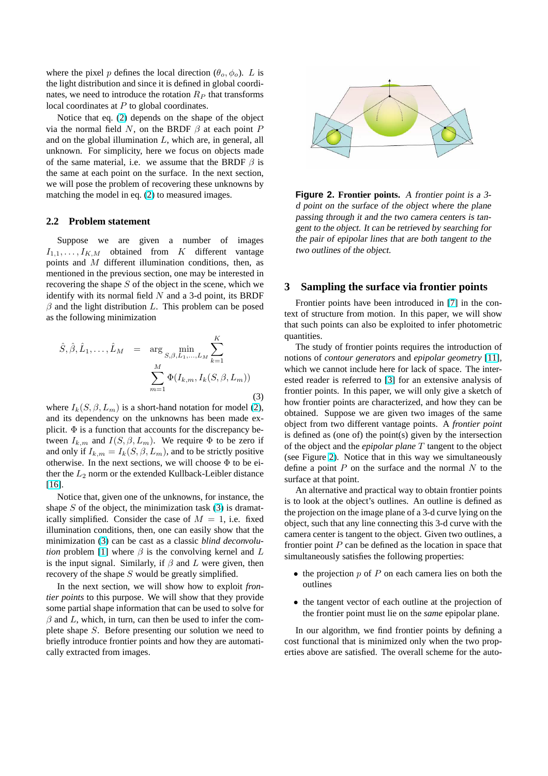<span id="page-2-0"></span>where the pixel p defines the local direction  $(\theta_o, \phi_o)$ . L is the light distribution and since it is defined in global coordinates, we need to introduce the rotation  $R_P$  that transforms local coordinates at  $P$  to global coordinates.

Notice that eq. (2) depends on the shape of the object via the normal field  $N$ , on the BRDF  $\beta$  at each point  $P$ and on the global illumination  $L$ , which are, in general, all unknown. For simplicity, here we focus on objects made of the same materi[al,](#page-1-0) i.e. we assume that the BRDF  $\beta$  is the same at each point on the surface. In the next section, we will pose the problem of recovering these unknowns by matching the model in eq. (2) to measured images.

#### **2.2 Problem statement**

Suppose we are gi[ve](#page-1-0)n a number of images  $I_{1,1}, \ldots, I_{K,M}$  obtained from K different vantage points and M different illumination conditions, then, as mentioned in the previous section, one may be interested in recovering the shape  $S$  of the object in the scene, which we identify with its normal field  $N$  and a 3-d point, its BRDF  $\beta$  and the light distribution L. This problem can be posed as the following minimization

$$
\hat{S}, \hat{\beta}, \hat{L}_1, \dots, \hat{L}_M = \arg \min_{S, \beta, L_1, \dots, L_M} \sum_{k=1}^K
$$

$$
\sum_{m=1}^M \Phi(I_{k,m}, I_k(S, \beta, L_m))
$$
\n(3)

where  $I_k(S, \beta, L_m)$  is a short-hand notation for model (2), and its dependency on the unknowns has been made explicit.  $\Phi$  is a function that accounts for the discrepancy between  $I_{k,m}$  and  $I(S, \beta, L_m)$ . We require  $\Phi$  to be zero if and only if  $I_{k,m} = I_k(S, \beta, L_m)$ , and to be strictly posit[ive](#page-1-0) otherwise. In the next sections, we will choose  $\Phi$  to be either the  $L_2$  norm or the extended Kullback-Leibler distance [16].

Notice that, given one of the unknowns, for instance, the shape  $S$  of the object, the minimization task (3) is dramatically simplified. Consider the case of  $M = 1$ , i.e. fixed [illum](#page-7-0)ination conditions, then, one can easily show that the minimization (3) can be cast as a classic *blind deconvolution* problem [1] where  $\beta$  is the convolving kernel and L is the input signal. Similarly, if  $\beta$  and L were given, then recovery of the shape S would be greatly simplified.

In the next section, we will show how to exploit *frontier points* to t[hi](#page-6-0)s purpose. We will show that they provide some partial shape information that can be used to solve for  $\beta$  and L, which, in turn, can then be used to infer the complete shape S. Before presenting our solution we need to briefly introduce frontier points and how they are automatically extracted from images.



**Figure 2. Frontier points.** <sup>A</sup> frontier point is <sup>a</sup> 3 <sup>d</sup> point on the surface of the object where the plane passing through it and the two camera centers is tangent to the object. It can be retrieved by searching for the pair of epipolar lines that are both tangent to the two outlines of the object.

# **3 Sampling the surface via frontier points**

Frontier points have been introduced in [7] in the context of structure from motion. In this paper, we will show that such points can also be exploited to infer photometric quantities.

The study of frontier points requires the i[nt](#page-7-0)roduction of notions of *contour generators* and *epipolar geometry* [11], which we cannot include here for lack of space. The interested reader is referred to [3] for an extensive analysis of frontier points. In this paper, we will only give a sketch of how frontier points are characterized, and how they ca[n b](#page-7-0)e obtained. Suppose we are given two images of the same object from two different v[an](#page-7-0)tage points. A *frontier point* is defined as (one of) the point(s) given by the intersection of the object and the *epipolar plane* T tangent to the object (see Figure 2). Notice that in this way we simultaneously define a point  $P$  on the surface and the normal  $N$  to the surface at that point.

An alternative and practical way to obtain frontier points is to look at the object's outlines. An outline is defined as the projection on the image plane of a 3-d curve lying on the object, such that any line connecting this 3-d curve with the camera center is tangent to the object. Given two outlines, a frontier point  $P$  can be defined as the location in space that simultaneously satisfies the following properties:

- the projection  $p$  of  $P$  on each camera lies on both the outlines
- the tangent vector of each outline at the projection of the frontier point must lie on the *same* epipolar plane.

In our algorithm, we find frontier points by defining a cost functional that is minimized only when the two properties above are satisfied. The overall scheme for the auto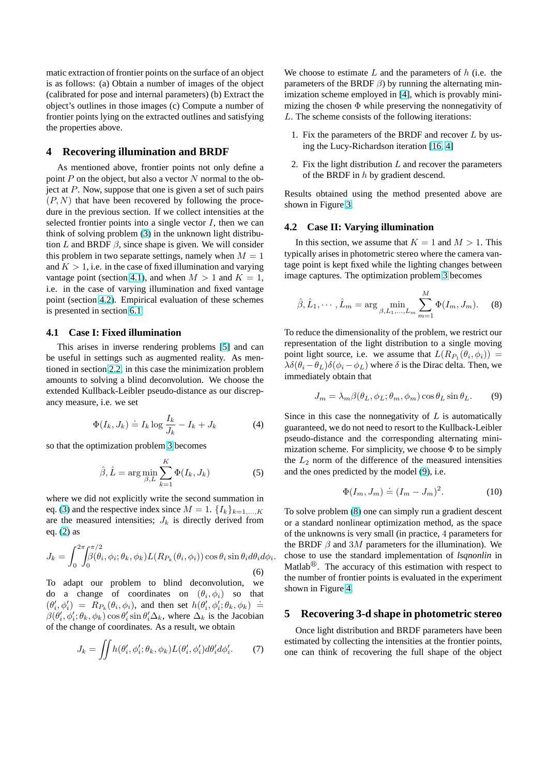<span id="page-3-0"></span>matic extraction of frontier points on the surface of an object is as follows: (a) Obtain a number of images of the object (calibrated for pose and internal parameters) (b) Extract the object's outlines in those images (c) Compute a number of frontier points lying on the extracted outlines and satisfying the properties above.

# **4 Recovering illumination and BRDF**

As mentioned above, frontier points not only define a point  $P$  on the object, but also a vector  $N$  normal to the object at  $P$ . Now, suppose that one is given a set of such pairs  $(P, N)$  that have been recovered by following the procedure in the previous section. If we collect intensities at the selected frontier points into a single vector  $I$ , then we can think of solving problem (3) in the unknown light distribution L and BRDF  $\beta$ , since shape is given. We will consider this problem in two separate settings, namely when  $M = 1$ and  $K > 1$ , i.e. in the case of fixed illumination and varying vantage point (section 4.1[\),](#page-2-0) and when  $M > 1$  and  $K = 1$ , i.e. in the case of varying illumination and fixed vantage point (section 4.2). Empirical evaluation of these schemes is presented in section 6.1.

#### **4.1 Case I: Fixed illumination**

This arises in inverse rendering problems [5] and can be useful in settings [such](#page-4-0) as augmented reality. As mentioned in section 2.2, in this case the minimization problem amounts to solving a blind deconvolution. We choose the extended Kullback-Leibler pseudo-distance as [ou](#page-7-0)r discrepancy measure, i.e. we set

$$
\Phi(I_k, J_k) \doteq I_k \log \frac{I_k}{J_k} - I_k + J_k \tag{4}
$$

so that the optimization problem 3 becomes

$$
\hat{\beta}, \hat{L} = \arg\min_{\beta, L} \sum_{k=1}^{K} \Phi(I_k, J_k)
$$
 (5)

where we did not explicitly writ[e t](#page-2-0)he second summation in eq. (3) and the respective index since  $M = 1$ .  $\{I_k\}_{k=1,\dots,K}$ are the measured intensities;  $J_k$  is directly derived from eq. (2) as

$$
J_k = \int_0^{2\pi} \int_0^{\pi/2} \beta(\theta_i, \phi_i; \theta_k, \phi_k) L(R_{P_k}(\theta_i, \phi_i)) \cos \theta_i \sin \theta_i d\theta_i d\phi_i.
$$
\n(6)

To [ad](#page-1-0)apt our problem to blind deconvolution, we do a change of coordinates on  $(\theta_i, \phi_i)$  so that  $(\theta'_i, \phi'_i) = R_{P_k}(\theta_i, \phi_i)$ , and then set  $h(\theta'_i, \phi'_i; \theta_k, \phi_k) \doteq$  $\beta(\theta'_i, \phi'_i; \theta_k, \phi_k)$  cos  $\theta'_i$  sin  $\theta'_i \Delta_k$ , where  $\Delta_k$  is the Jacobian of the change of coordinates. As a result, we obtain

$$
J_k = \iint h(\theta'_i, \phi'_i; \theta_k, \phi_k) L(\theta'_i, \phi'_i) d\theta'_i d\phi'_i.
$$
 (7)

We choose to estimate  $L$  and the parameters of  $h$  (i.e. the parameters of the BRDF  $\beta$ ) by running the alternating minimization scheme employed in [4], which is provably minimizing the chosen  $\Phi$  while preserving the nonnegativity of L. The scheme consists of the following iterations:

- 1. Fix the parameters of the [BR](#page-7-0)DF and recover L by using the Lucy-Richardson iteration [16, 4]
- 2. Fix the light distribution  $L$  and recover the parameters of the BRDF in h by gradient descend.

Results obtained using the method p[resent](#page-7-0)ed above are shown in Figure 3.

## **4.2 Case II: Varying illumination**

In this section, we assume that  $K = 1$  and  $M > 1$ . This typically arises i[n p](#page-4-0)hotometric stereo where the camera vantage point is kept fixed while the lighting changes between image captures. The optimization problem 3 becomes

$$
\hat{\beta}, \hat{L}_1, \cdots, \hat{L}_m = \arg \min_{\beta, L_1, \ldots, L_m} \sum_{m=1}^{M} \Phi(I_m, J_m).
$$
 (8)

To reduce the dimensionality of the problem, we restrict our representation of the light distribution to a single moving point light source, i.e. we assume that  $L(R_{P_1}(\theta_i, \phi_i)) =$  $\lambda \delta(\theta_i - \theta_L) \delta(\phi_i - \phi_L)$  where  $\delta$  is the Dirac delta. Then, we immediately obtain that

$$
J_m = \lambda_m \beta(\theta_L, \phi_L; \theta_m, \phi_m) \cos \theta_L \sin \theta_L.
$$
 (9)

Since in this case the nonnegativity of  $L$  is automatically guaranteed, we do not need to resort to the Kullback-Leibler pseudo-distance and the corresponding alternating minimization scheme. For simplicity, we choose  $\Phi$  to be simply the  $L_2$  norm of the difference of the measured intensities and the ones predicted by the model (9), i.e.

$$
\Phi(I_m, J_m) \doteq (I_m - J_m)^2. \tag{10}
$$

To solve problem (8) one can simply run a gradient descent or a standard nonlinear optimization method, as the space of the unknowns is very small (in practice, 4 parameters for the BRDF  $\beta$  and 3M parameters for the illumination). We chose to use the standard implementation of *lsqnonlin* in Matlab<sup>®</sup>. The accuracy of this estimation with respect to the number of frontier points is evaluated in the experiment shown in Figure 4.

# **5 Recovering 3-d shape in photometric stereo**

Once light di[str](#page-5-0)ibution and BRDF parameters have been estimated by collecting the intensities at the frontier points, one can think of recovering the full shape of the object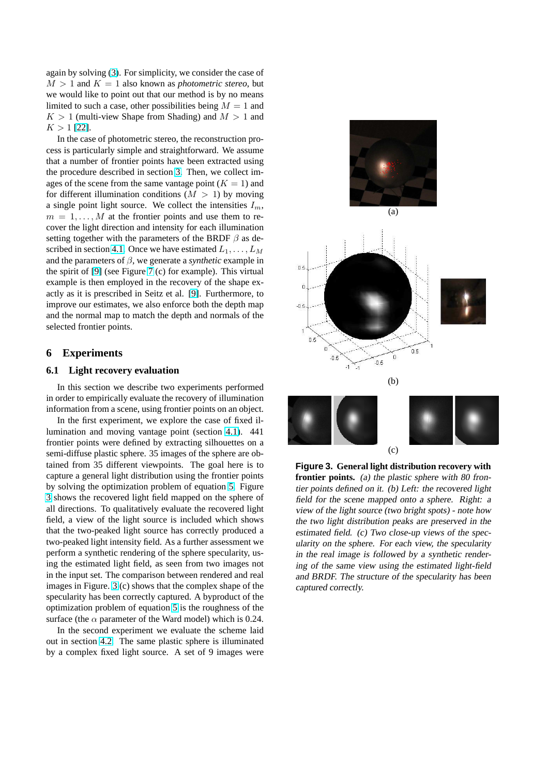<span id="page-4-0"></span>again by solving (3). For simplicity, we consider the case of  $M > 1$  and  $K = 1$  also known as *photometric stereo*, but we would like to point out that our method is by no means limited to such a case, other possibilities being  $M = 1$  and  $K > 1$  (multi-vi[ew](#page-2-0) Shape from Shading) and  $M > 1$  and  $K > 1$  [22].

In the case of photometric stereo, the reconstruction process is particularly simple and straightforward. We assume that a number of frontier points have been extracted using the pro[cedu](#page-7-0)re described in section 3. Then, we collect images of the scene from the same vantage point  $(K = 1)$  and for different illumination conditions  $(M > 1)$  by moving a single point light source. We collect the intensities  $I_m$ ,  $m = 1, \ldots, M$  at the frontier po[int](#page-2-0)s and use them to recover the light direction and intensity for each illumination setting together with the parameters of the BRDF  $\beta$  as described in section 4.1. Once we have estimated  $L_1, \ldots, L_M$ and the parameters of  $\beta$ , we generate a *synthetic* example in the spirit of [9] (see Figure 7 (c) for example). This virtual example is then employed in the recovery of the shape exactly as it is pres[cribe](#page-3-0)d in Seitz et al. [9]. Furthermore, to improve our estimates, we also enforce both the depth map and the nor[mal](#page-7-0) map to mat[ch](#page-6-0) the depth and normals of the selected frontier points.

# **6 Experiments**

# **6.1 Light recovery evaluation**

In this section we describe two experiments performed in order to empirically evaluate the recovery of illumination information from a scene, using frontier points on an object.

In the first experiment, we explore the case of fixed illumination and moving vantage point (section 4.1). 441 frontier points were defined by extracting silhouettes on a semi-diffuse plastic sphere. 35 images of the sphere are obtained from 35 different viewpoints. The goal here is to capture a general light distribution using the fro[ntier](#page-3-0) points by solving the optimization problem of equation 5. Figure 3 shows the recovered light field mapped on the sphere of all directions. To qualitatively evaluate the recovered light field, a view of the light source is included which shows that the two-peaked light source has correctly p[ro](#page-3-0)duced a two-peaked light intensity field. As a further assessment we perform a synthetic rendering of the sphere specularity, using the estimated light field, as seen from two images not in the input set. The comparison between rendered and real images in Figure. 3 (c) shows that the complex shape of the specularity has been correctly captured. A byproduct of the optimization problem of equation 5 is the roughness of the surface (the  $\alpha$  parameter of the Ward model) which is 0.24.

In the second experiment we evaluate the scheme laid out in section 4.2. The same plastic sphere is illuminated by a complex fixed light source. [A](#page-3-0) set of 9 images were



**Figure 3. General light distribution recovery with frontier points.** (a) the plastic sphere with <sup>80</sup> frontier points defined on it. (b) Left: the recovered light field for the scene mapped onto <sup>a</sup> sphere. Right: <sup>a</sup> view of the light source (two bright spots) - note how the two light distribution peaks are preserved in the estimated field. (c) Two close-up views of the specularity on the sphere. For each view, the specularity in the real image is followed by a synthetic rendering of the same view using the estimated light-field and BRDF. The structure of the specularity has been captured correctly.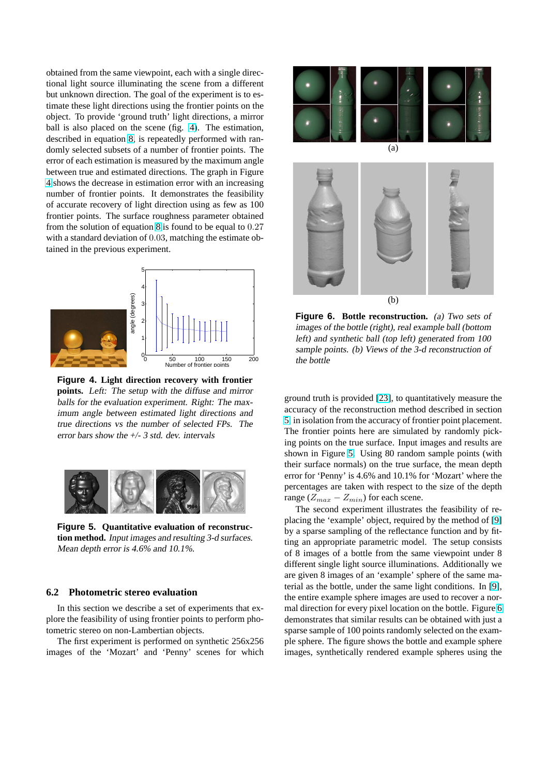<span id="page-5-0"></span>obtained from the same viewpoint, each with a single directional light source illuminating the scene from a different but unknown direction. The goal of the experiment is to estimate these light directions using the frontier points on the object. To provide 'ground truth' light directions, a mirror ball is also placed on the scene (fig. 4). The estimation, described in equation 8, is repeatedly performed with randomly selected subsets of a number of frontier points. The error of each estimation is measured by the maximum angle between true and estimated directions. The graph in Figure 4 shows the decrease [in](#page-3-0) estimation error with an increasing number of frontier points. It demonstrates the feasibility of accurate recovery of light direction using as few as 100 frontier points. The surface roughness parameter obtained from the solution of equation 8 is found to be equal to 0.27 with a standard deviation of 0.03, matching the estimate obtained in the previous experiment.



**Figure 4. Light direction recovery with frontier points.** Left: The setup with the diffuse and mirror balls for the evaluation experiment. Right: The maximum angle between estimated light directions and true directions vs the number of selected FPs. The error bars show the  $+/- 3$  std. dev. intervals



**Figure 5. Quantitative evaluation of reconstruction method.** Input images and resulting 3-d surfaces. Mean depth error is 4.6% and 10.1%.

# **6.2 Photometric stereo evaluation**

In this section we describe a set of experiments that explore the feasibility of using frontier points to perform photometric stereo on non-Lambertian objects.

The first experiment is performed on synthetic 256x256 images of the 'Mozart' and 'Penny' scenes for which



**Figure 6. Bottle reconstruction.** (a) Two sets of images of the bottle (right), real example ball (bottom left) and synthetic ball (top left) generated from <sup>100</sup> sample points. (b) Views of the 3-d reconstruction of the bottle

ground truth is provided [23], to quantitatively measure the accuracy of the reconstruction method described in section 5, in isolation from the accuracy of frontier point placement. The frontier points here are simulated by randomly picking points on the true sur[face](#page-7-0). Input images and results are shown in Figure 5. Using 80 random sample points (with [th](#page-3-0)eir surface normals) on the true surface, the mean depth error for 'Penny' is 4.6% and 10.1% for 'Mozart' where the percentages are taken with respect to the size of the depth range ( $Z_{max} - Z_{min}$ ) for each scene.

The second experiment illustrates the feasibility of replacing the 'example' object, required by the method of [9] by a sparse sampling of the reflectance function and by fitting an appropriate parametric model. The setup consists of 8 images of a bottle from the same viewpoint under 8 different single light source illuminations. Additionally [we](#page-7-0) are given 8 images of an 'example' sphere of the same material as the bottle, under the same light conditions. In [9], the entire example sphere images are used to recover a normal direction for every pixel location on the bottle. Figure 6 demonstrates that similar results can be obtained with just a sparse sample of 100 points randomly selected on the ex[am](#page-7-0)ple sphere. The figure shows the bottle and example sphere images, synthetically rendered example spheres using the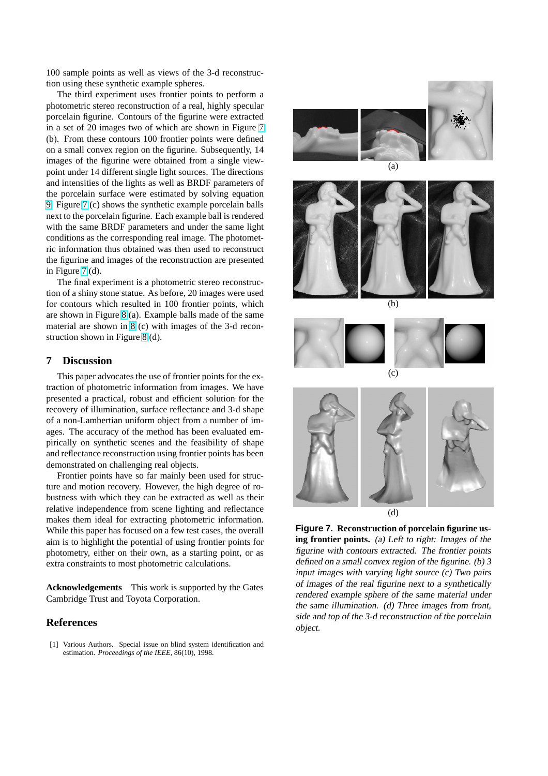<span id="page-6-0"></span>100 sample points as well as views of the 3-d reconstruction using these synthetic example spheres.

The third experiment uses frontier points to perform a photometric stereo reconstruction of a real, highly specular porcelain figurine. Contours of the figurine were extracted in a set of 20 images two of which are shown in Figure 7 (b). From these contours 100 frontier points were defined on a small convex region on the figurine. Subsequently, 14 images of the figurine were obtained from a single viewpoint under 14 different single light sources. The directions and intensities of the lights as well as BRDF parameters of the porcelain surface were estimated by solving equation 9. Figure 7 (c) shows the synthetic example porcelain balls next to the porcelain figurine. Each example ball is rendered with the same BRDF parameters and under the same light conditions as the corresponding real image. The photomet[ri](#page-3-0)c information thus obtained was then used to reconstruct the figurine and images of the reconstruction are presented in Figure 7 (d).

The final experiment is a photometric stereo reconstruction of a shiny stone statue. As before, 20 images were used for contours which resulted in 100 frontier points, which are shown in Figure 8 (a). Example balls made of the same material are shown in 8 (c) with images of the 3-d reconstruction shown in Figure 8 (d).

# **7 Discussion**

This paper advocat[es t](#page-7-0)he use of frontier points for the extraction of photometric i[nfo](#page-7-0)rmation from images. We have presented a practical, robust and efficient solution for the recovery of illumination, surface reflectance and 3-d shape of a non-Lambertian uniform object from a number of images. The accuracy of the method has been evaluated empirically on synthetic scenes and the feasibility of shape and reflectance reconstruction using frontier points has been demonstrated on challenging real objects.

Frontier points have so far mainly been used for structure and motion recovery. However, the high degree of robustness with which they can be extracted as well as their relative independence from scene lighting and reflectance makes them ideal for extracting photometric information. While this paper has focused on a few test cases, the overall aim is to highlight the potential of using frontier points for photometry, either on their own, as a starting point, or as extra constraints to most photometric calculations.

**Acknowledgements** This work is supported by the Gates Cambridge Trust and Toyota Corporation.

# **References**

[1] Various Authors. Special issue on blind system identification and estimation. *Proceedings of the IEEE*, 86(10), 1998.





(b)





**Figure 7. Reconstruction of porcelain figurine using frontier points.** (a) Left to right: Images of the figurine with contours extracted. The frontier points defined on a small convex region of the figurine. (b) 3 input images with varying light source (c) Two pairs of images of the real figurine next to <sup>a</sup> synthetically rendered example sphere of the same material under the same illumination. (d) Three images from front, side and top of the 3-d reconstruction of the porcelain

object.